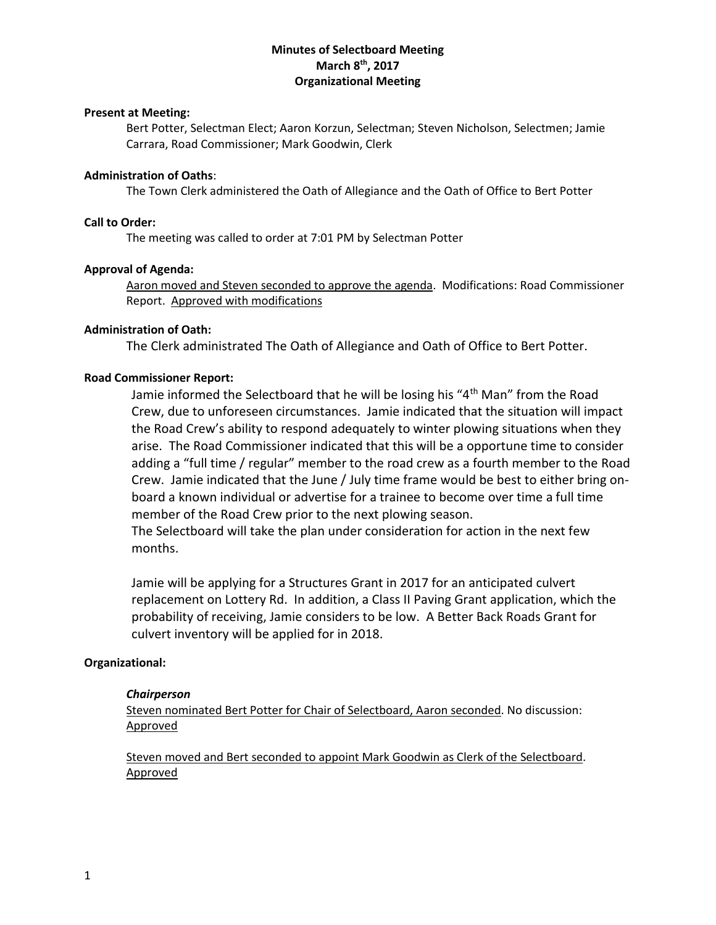# **Minutes of Selectboard Meeting March 8 th, 2017 Organizational Meeting**

#### **Present at Meeting:**

Bert Potter, Selectman Elect; Aaron Korzun, Selectman; Steven Nicholson, Selectmen; Jamie Carrara, Road Commissioner; Mark Goodwin, Clerk

# **Administration of Oaths**:

The Town Clerk administered the Oath of Allegiance and the Oath of Office to Bert Potter

#### **Call to Order:**

The meeting was called to order at 7:01 PM by Selectman Potter

#### **Approval of Agenda:**

Aaron moved and Steven seconded to approve the agenda. Modifications: Road Commissioner Report. Approved with modifications

#### **Administration of Oath:**

The Clerk administrated The Oath of Allegiance and Oath of Office to Bert Potter.

#### **Road Commissioner Report:**

Jamie informed the Selectboard that he will be losing his "4<sup>th</sup> Man" from the Road Crew, due to unforeseen circumstances. Jamie indicated that the situation will impact the Road Crew's ability to respond adequately to winter plowing situations when they arise. The Road Commissioner indicated that this will be a opportune time to consider adding a "full time / regular" member to the road crew as a fourth member to the Road Crew. Jamie indicated that the June / July time frame would be best to either bring onboard a known individual or advertise for a trainee to become over time a full time member of the Road Crew prior to the next plowing season.

The Selectboard will take the plan under consideration for action in the next few months.

Jamie will be applying for a Structures Grant in 2017 for an anticipated culvert replacement on Lottery Rd. In addition, a Class II Paving Grant application, which the probability of receiving, Jamie considers to be low. A Better Back Roads Grant for culvert inventory will be applied for in 2018.

#### **Organizational:**

#### *Chairperson*

Steven nominated Bert Potter for Chair of Selectboard, Aaron seconded. No discussion: Approved

Steven moved and Bert seconded to appoint Mark Goodwin as Clerk of the Selectboard. Approved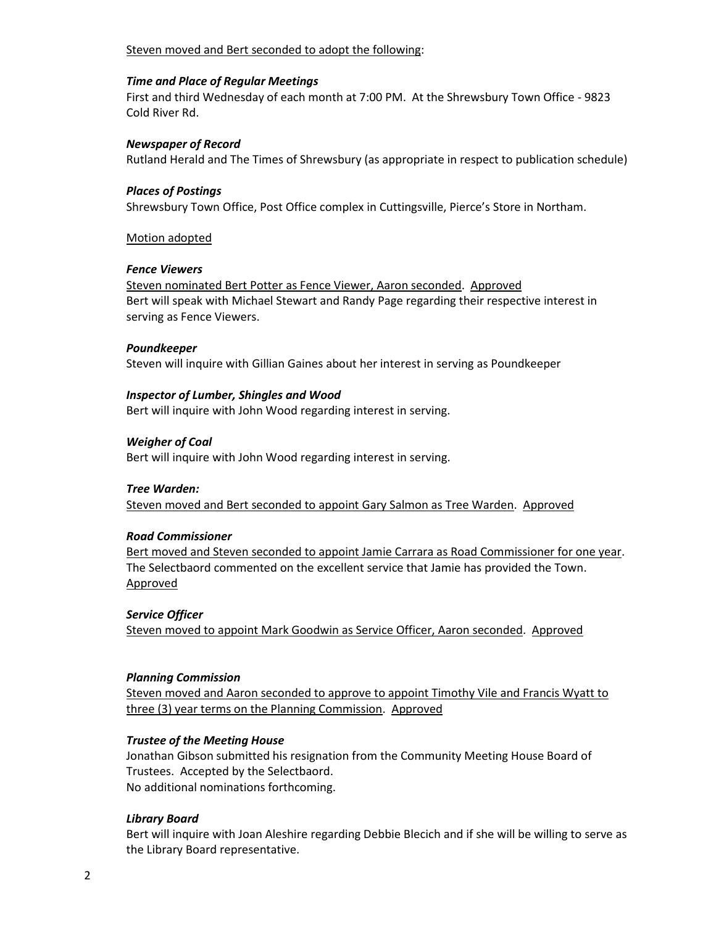## Steven moved and Bert seconded to adopt the following:

#### *Time and Place of Regular Meetings*

First and third Wednesday of each month at 7:00 PM. At the Shrewsbury Town Office - 9823 Cold River Rd.

## *Newspaper of Record*

Rutland Herald and The Times of Shrewsbury (as appropriate in respect to publication schedule)

## *Places of Postings*

Shrewsbury Town Office, Post Office complex in Cuttingsville, Pierce's Store in Northam.

## Motion adopted

## *Fence Viewers*

Steven nominated Bert Potter as Fence Viewer, Aaron seconded. Approved Bert will speak with Michael Stewart and Randy Page regarding their respective interest in serving as Fence Viewers.

## *Poundkeeper*

Steven will inquire with Gillian Gaines about her interest in serving as Poundkeeper

## *Inspector of Lumber, Shingles and Wood*

Bert will inquire with John Wood regarding interest in serving.

# *Weigher of Coal*

Bert will inquire with John Wood regarding interest in serving.

#### *Tree Warden:*

Steven moved and Bert seconded to appoint Gary Salmon as Tree Warden. Approved

# *Road Commissioner*

Bert moved and Steven seconded to appoint Jamie Carrara as Road Commissioner for one year. The Selectbaord commented on the excellent service that Jamie has provided the Town. Approved

#### *Service Officer*

Steven moved to appoint Mark Goodwin as Service Officer, Aaron seconded. Approved

#### *Planning Commission*

Steven moved and Aaron seconded to approve to appoint Timothy Vile and Francis Wyatt to three (3) year terms on the Planning Commission. Approved

# *Trustee of the Meeting House*

Jonathan Gibson submitted his resignation from the Community Meeting House Board of Trustees. Accepted by the Selectbaord. No additional nominations forthcoming.

# *Library Board*

Bert will inquire with Joan Aleshire regarding Debbie Blecich and if she will be willing to serve as the Library Board representative.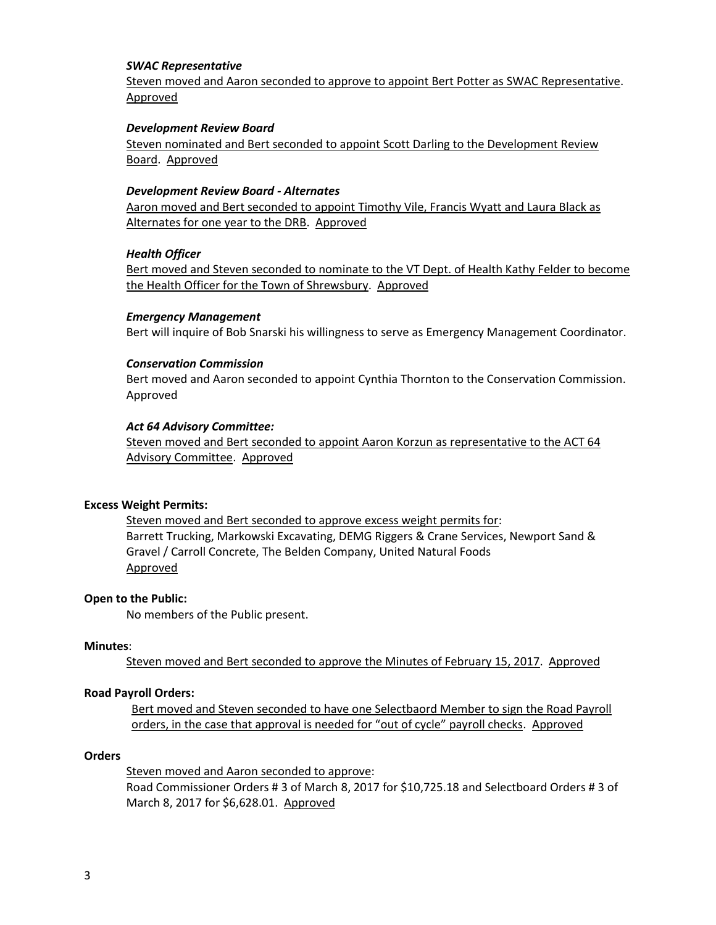#### *SWAC Representative*

Steven moved and Aaron seconded to approve to appoint Bert Potter as SWAC Representative. Approved

## *Development Review Board*

Steven nominated and Bert seconded to appoint Scott Darling to the Development Review Board. Approved

#### *Development Review Board - Alternates*

Aaron moved and Bert seconded to appoint Timothy Vile, Francis Wyatt and Laura Black as Alternates for one year to the DRB. Approved

## *Health Officer*

Bert moved and Steven seconded to nominate to the VT Dept. of Health Kathy Felder to become the Health Officer for the Town of Shrewsbury. Approved

## *Emergency Management*

Bert will inquire of Bob Snarski his willingness to serve as Emergency Management Coordinator.

## *Conservation Commission*

Bert moved and Aaron seconded to appoint Cynthia Thornton to the Conservation Commission. Approved

## *Act 64 Advisory Committee:*

Steven moved and Bert seconded to appoint Aaron Korzun as representative to the ACT 64 Advisory Committee. Approved

#### **Excess Weight Permits:**

Steven moved and Bert seconded to approve excess weight permits for: Barrett Trucking, Markowski Excavating, DEMG Riggers & Crane Services, Newport Sand & Gravel / Carroll Concrete, The Belden Company, United Natural Foods Approved

#### **Open to the Public:**

No members of the Public present.

#### **Minutes**:

Steven moved and Bert seconded to approve the Minutes of February 15, 2017. Approved

#### **Road Payroll Orders:**

Bert moved and Steven seconded to have one Selectbaord Member to sign the Road Payroll orders, in the case that approval is needed for "out of cycle" payroll checks. Approved

#### **Orders**

Steven moved and Aaron seconded to approve: Road Commissioner Orders # 3 of March 8, 2017 for \$10,725.18 and Selectboard Orders # 3 of March 8, 2017 for \$6,628.01. Approved